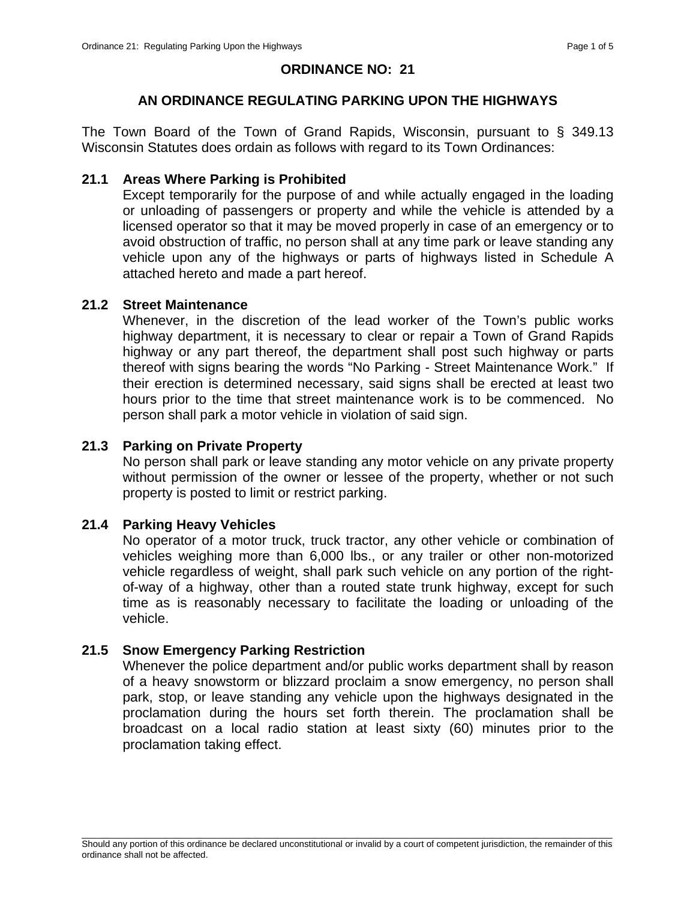### **ORDINANCE NO: 21**

## **AN ORDINANCE REGULATING PARKING UPON THE HIGHWAYS**

The Town Board of the Town of Grand Rapids, Wisconsin, pursuant to § 349.13 Wisconsin Statutes does ordain as follows with regard to its Town Ordinances:

#### **21.1 Areas Where Parking is Prohibited**

Except temporarily for the purpose of and while actually engaged in the loading or unloading of passengers or property and while the vehicle is attended by a licensed operator so that it may be moved properly in case of an emergency or to avoid obstruction of traffic, no person shall at any time park or leave standing any vehicle upon any of the highways or parts of highways listed in Schedule A attached hereto and made a part hereof.

### **21.2 Street Maintenance**

Whenever, in the discretion of the lead worker of the Town's public works highway department, it is necessary to clear or repair a Town of Grand Rapids highway or any part thereof, the department shall post such highway or parts thereof with signs bearing the words "No Parking - Street Maintenance Work." If their erection is determined necessary, said signs shall be erected at least two hours prior to the time that street maintenance work is to be commenced. No person shall park a motor vehicle in violation of said sign.

## **21.3 Parking on Private Property**

No person shall park or leave standing any motor vehicle on any private property without permission of the owner or lessee of the property, whether or not such property is posted to limit or restrict parking.

#### **21.4 Parking Heavy Vehicles**

No operator of a motor truck, truck tractor, any other vehicle or combination of vehicles weighing more than 6,000 lbs., or any trailer or other non-motorized vehicle regardless of weight, shall park such vehicle on any portion of the rightof-way of a highway, other than a routed state trunk highway, except for such time as is reasonably necessary to facilitate the loading or unloading of the vehicle.

## **21.5 Snow Emergency Parking Restriction**

Whenever the police department and/or public works department shall by reason of a heavy snowstorm or blizzard proclaim a snow emergency, no person shall park, stop, or leave standing any vehicle upon the highways designated in the proclamation during the hours set forth therein. The proclamation shall be broadcast on a local radio station at least sixty (60) minutes prior to the proclamation taking effect.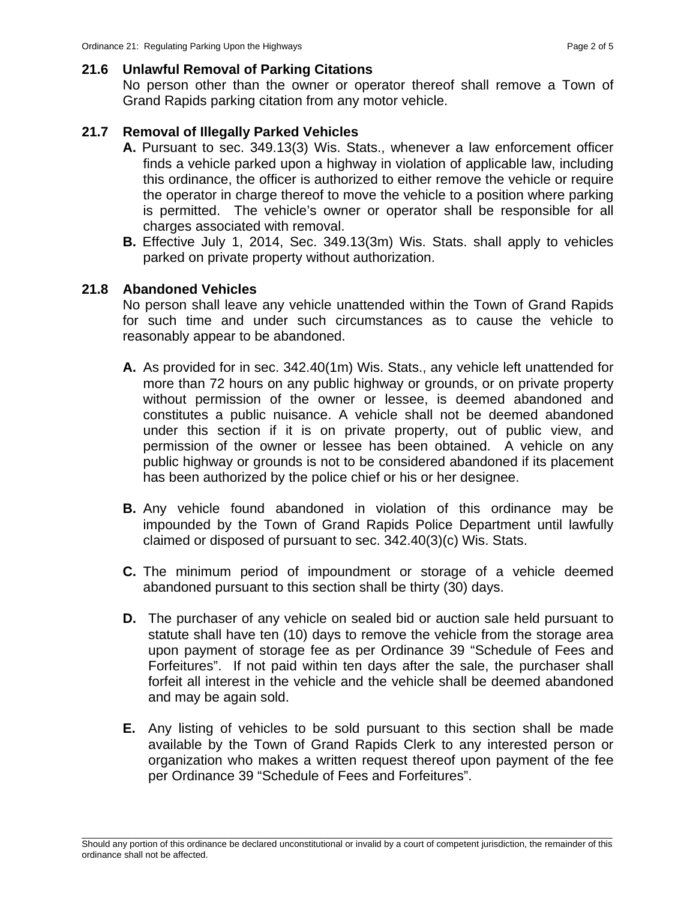# **21.6 Unlawful Removal of Parking Citations**

No person other than the owner or operator thereof shall remove a Town of Grand Rapids parking citation from any motor vehicle.

# **21.7 Removal of Illegally Parked Vehicles**

- **A.** Pursuant to sec. 349.13(3) Wis. Stats., whenever a law enforcement officer finds a vehicle parked upon a highway in violation of applicable law, including this ordinance, the officer is authorized to either remove the vehicle or require the operator in charge thereof to move the vehicle to a position where parking is permitted. The vehicle's owner or operator shall be responsible for all charges associated with removal.
- **B.** Effective July 1, 2014, Sec. 349.13(3m) Wis. Stats. shall apply to vehicles parked on private property without authorization.

# **21.8 Abandoned Vehicles**

No person shall leave any vehicle unattended within the Town of Grand Rapids for such time and under such circumstances as to cause the vehicle to reasonably appear to be abandoned.

- **A.** As provided for in sec. 342.40(1m) Wis. Stats., any vehicle left unattended for more than 72 hours on any public highway or grounds, or on private property without permission of the owner or lessee, is deemed abandoned and constitutes a public nuisance. A vehicle shall not be deemed abandoned under this section if it is on private property, out of public view, and permission of the owner or lessee has been obtained. A vehicle on any public highway or grounds is not to be considered abandoned if its placement has been authorized by the police chief or his or her designee.
- **B.** Any vehicle found abandoned in violation of this ordinance may be impounded by the Town of Grand Rapids Police Department until lawfully claimed or disposed of pursuant to sec. 342.40(3)(c) Wis. Stats.
- **C.** The minimum period of impoundment or storage of a vehicle deemed abandoned pursuant to this section shall be thirty (30) days.
- **D.** The purchaser of any vehicle on sealed bid or auction sale held pursuant to statute shall have ten (10) days to remove the vehicle from the storage area upon payment of storage fee as per Ordinance 39 "Schedule of Fees and Forfeitures".If not paid within ten days after the sale, the purchaser shall forfeit all interest in the vehicle and the vehicle shall be deemed abandoned and may be again sold.
- **E.** Any listing of vehicles to be sold pursuant to this section shall be made available by the Town of Grand Rapids Clerk to any interested person or organization who makes a written request thereof upon payment of the fee per Ordinance 39 "Schedule of Fees and Forfeitures".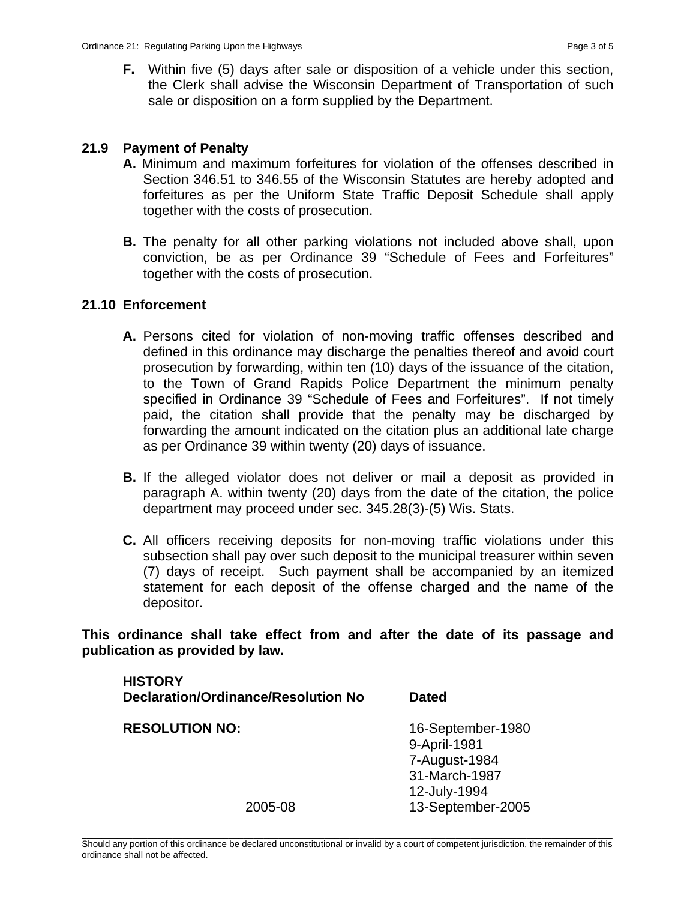**F.** Within five (5) days after sale or disposition of a vehicle under this section, the Clerk shall advise the Wisconsin Department of Transportation of such sale or disposition on a form supplied by the Department.

## **21.9 Payment of Penalty**

- **A.** Minimum and maximum forfeitures for violation of the offenses described in Section 346.51 to 346.55 of the Wisconsin Statutes are hereby adopted and forfeitures as per the Uniform State Traffic Deposit Schedule shall apply together with the costs of prosecution.
- **B.** The penalty for all other parking violations not included above shall, upon conviction, be as per Ordinance 39 "Schedule of Fees and Forfeitures" together with the costs of prosecution.

### **21.10 Enforcement**

- **A.** Persons cited for violation of non-moving traffic offenses described and defined in this ordinance may discharge the penalties thereof and avoid court prosecution by forwarding, within ten (10) days of the issuance of the citation, to the Town of Grand Rapids Police Department the minimum penalty specified in Ordinance 39 "Schedule of Fees and Forfeitures". If not timely paid, the citation shall provide that the penalty may be discharged by forwarding the amount indicated on the citation plus an additional late charge as per Ordinance 39 within twenty (20) days of issuance.
- **B.** If the alleged violator does not deliver or mail a deposit as provided in paragraph A. within twenty (20) days from the date of the citation, the police department may proceed under sec. 345.28(3)-(5) Wis. Stats.
- **C.** All officers receiving deposits for non-moving traffic violations under this subsection shall pay over such deposit to the municipal treasurer within seven (7) days of receipt. Such payment shall be accompanied by an itemized statement for each deposit of the offense charged and the name of the depositor.

**This ordinance shall take effect from and after the date of its passage and publication as provided by law.** 

| <b>HISTORY</b><br><b>Declaration/Ordinance/Resolution No</b> | Dated                                                                               |
|--------------------------------------------------------------|-------------------------------------------------------------------------------------|
| <b>RESOLUTION NO:</b>                                        | 16-September-1980<br>9-April-1981<br>7-August-1984<br>31-March-1987<br>12-July-1994 |
| 2005-08                                                      | 13-September-2005                                                                   |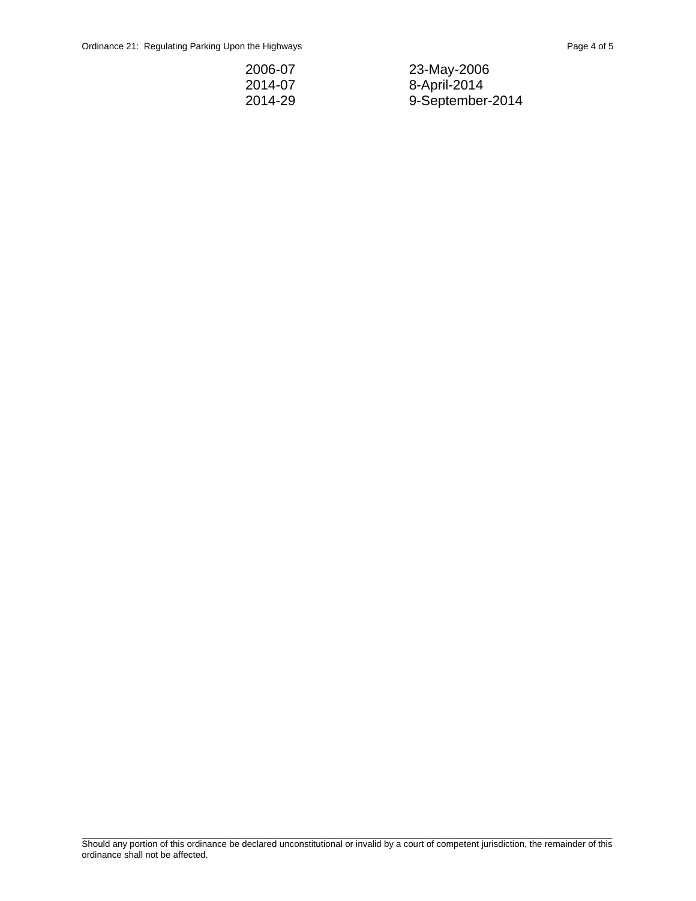| 2006-07 | 23-May-2006      |
|---------|------------------|
| 2014-07 | 8-April-2014     |
| 2014-29 | 9-September-2014 |

\_\_\_\_\_\_\_\_\_\_\_\_\_\_\_\_\_\_\_\_\_\_\_\_\_\_\_\_\_\_\_\_\_\_\_\_\_\_\_\_\_\_\_\_\_\_\_\_\_\_\_\_\_\_\_\_\_\_\_\_\_\_\_\_\_\_\_\_\_\_\_\_\_\_\_\_\_\_\_\_\_\_\_\_\_\_\_\_\_\_\_\_\_\_\_\_\_\_\_\_\_\_\_\_\_ Should any portion of this ordinance be declared unconstitutional or invalid by a court of competent jurisdiction, the remainder of this ordinance shall not be affected.